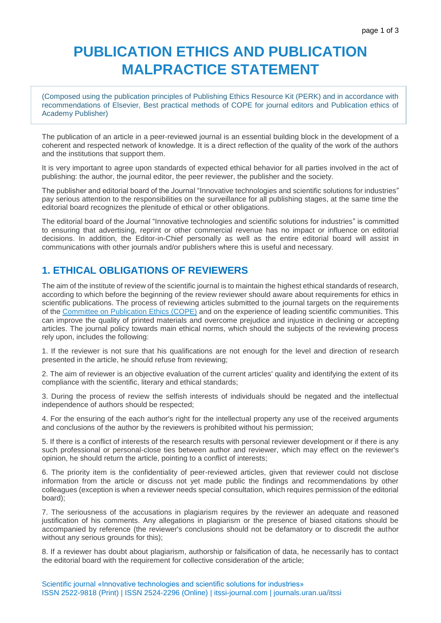## **PUBLICATION ETHICS AND PUBLICATION MALPRACTICE STATEMENT**

(Composed using the publication principles of Publishing Ethics Resource Kit (PERK) and in accordance with recommendations of Elsevier, Best practical methods of COPE for journal editors and Publication ethics of Academy Publisher)

The publication of an article in a peer-reviewed journal is an essential building block in the development of a coherent and respected network of knowledge. It is a direct reflection of the quality of the work of the authors and the institutions that support them.

It is very important to agree upon standards of expected ethical behavior for all parties involved in the act of publishing: the author, the journal editor, the peer reviewer, the publisher and the society.

The publisher and editorial board of the Journal "Innovative technologies and scientific solutions for industries" pay serious attention to the responsibilities on the surveillance for all publishing stages, at the same time the editorial board recognizes the plenitude of ethical or other obligations.

The editorial board of the Journal "Innovative technologies and scientific solutions for industries" is committed to ensuring that advertising, reprint or other commercial revenue has no impact or influence on editorial decisions. In addition, the Editor-in-Chief personally as well as the entire editorial board will assist in communications with other journals and/or publishers where this is useful and necessary.

## **1. ETHICAL OBLIGATIONS OF REVIEWERS**

The aim of the institute of review of the scientific journal is to maintain the highest ethical standards of research, according to which before the beginning of the review reviewer should aware about requirements for ethics in scientific publications. The process of reviewing articles submitted to the journal targets on the requirements of the [Committee on Publication Ethics \(COPE\)](http://publicationethics.org/) and on the experience of leading scientific communities. This can improve the quality of printed materials and overcome prejudice and injustice in declining or accepting articles. The journal policy towards main ethical norms, which should the subjects of the reviewing process rely upon, includes the following:

1. If the reviewer is not sure that his qualifications are not enough for the level and direction of research presented in the article, he should refuse from reviewing;

2. The aim of reviewer is an objective evaluation of the current articles' quality and identifying the extent of its compliance with the scientific, literary and ethical standards;

3. During the process of review the selfish interests of individuals should be negated and the intellectual independence of authors should be respected;

4. For the ensuring of the each author's right for the intellectual property any use of the received arguments and conclusions of the author by the reviewers is prohibited without his permission;

5. If there is a conflict of interests of the research results with personal reviewer development or if there is any such professional or personal-close ties between author and reviewer, which may effect on the reviewer's opinion, he should return the article, pointing to a conflict of interests;

6. The priority item is the confidentiality of peer-reviewed articles, given that reviewer could not disclose information from the article or discuss not yet made public the findings and recommendations by other colleagues (exception is when a reviewer needs special consultation, which requires permission of the editorial board);

7. The seriousness of the accusations in plagiarism requires by the reviewer an adequate and reasoned justification of his comments. Any allegations in plagiarism or the presence of biased citations should be accompanied by reference (the reviewer's conclusions should not be defamatory or to discredit the author without any serious grounds for this);

8. If a reviewer has doubt about plagiarism, authorship or falsification of data, he necessarily has to contact the editorial board with the requirement for collective consideration of the article;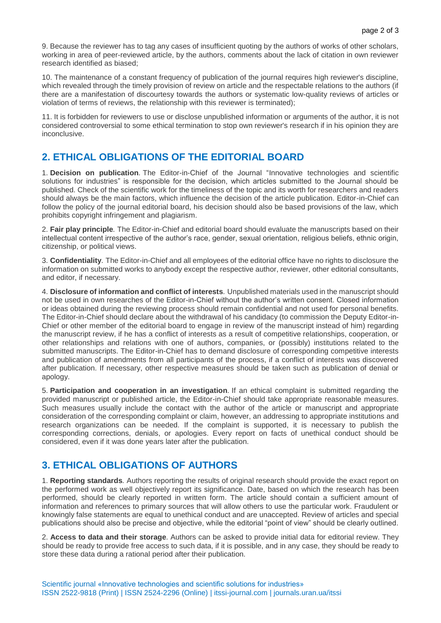9. Because the reviewer has to tag any cases of insufficient quoting by the authors of works of other scholars, working in area of peer-reviewed article, by the authors, comments about the lack of citation in own reviewer research identified as biased;

10. The maintenance of a constant frequency of publication of the journal requires high reviewer's discipline, which revealed through the timely provision of review on article and the respectable relations to the authors (if there are a manifestation of discourtesy towards the authors or systematic low-quality reviews of articles or violation of terms of reviews, the relationship with this reviewer is terminated);

11. It is forbidden for reviewers to use or disclose unpublished information or arguments of the author, it is not considered controversial to some ethical termination to stop own reviewer's research if in his opinion they are inconclusive.

## **2. ETHICAL OBLIGATIONS OF THE EDITORIAL BOARD**

1. **Decision on publication***.* The Editor-in-Chief of the Journal "Innovative technologies and scientific solutions for industries" is responsible for the decision, which articles submitted to the Journal should be published. Check of the scientific work for the timeliness of the topic and its worth for researchers and readers should always be the main factors, which influence the decision of the article publication. Editor-in-Chief can follow the policy of the journal editorial board, his decision should also be based provisions of the law, which prohibits copyright infringement and plagiarism.

2. **Fair play principle***.* The Editor-in-Chief and editorial board should evaluate the manuscripts based on their intellectual content irrespective of the author's race, gender, sexual orientation, religious beliefs, ethnic origin, citizenship, or political views.

3. **Confidentiality***.* The Editor-in-Chief and all employees of the editorial office have no rights to disclosure the information on submitted works to anybody except the respective author, reviewer, other editorial consultants, and editor, if necessary.

4. **Disclosure of information and conflict of interests***.* Unpublished materials used in the manuscript should not be used in own researches of the Editor-in-Chief without the author's written consent. Closed information or ideas obtained during the reviewing process should remain confidential and not used for personal benefits. The Editor-in-Chief should declare about the withdrawal of his candidacy (to commission the Deputy Editor-in-Chief or other member of the editorial board to engage in review of the manuscript instead of him) regarding the manuscript review, if he has a conflict of interests as a result of competitive relationships, cooperation, or other relationships and relations with one of authors, companies, or (possibly) institutions related to the submitted manuscripts. The Editor-in-Chief has to demand disclosure of corresponding competitive interests and publication of amendments from all participants of the process, if a conflict of interests was discovered after publication. If necessary, other respective measures should be taken such as publication of denial or apology.

5. **Participation and cooperation in an investigation***.* If an ethical complaint is submitted regarding the provided manuscript or published article, the Editor-in-Chief should take appropriate reasonable measures. Such measures usually include the contact with the author of the article or manuscript and appropriate consideration of the corresponding complaint or claim, however, an addressing to appropriate institutions and research organizations can be needed. If the complaint is supported, it is necessary to publish the corresponding corrections, denials, or apologies. Every report on facts of unethical conduct should be considered, even if it was done years later after the publication.

## **3. ETHICAL OBLIGATIONS OF AUTHORS**

1. **Reporting standards***.* Authors reporting the results of original research should provide the exact report on the performed work as well objectively report its significance. Date, based on which the research has been performed, should be clearly reported in written form. The article should contain a sufficient amount of information and references to primary sources that will allow others to use the particular work. Fraudulent or knowingly false statements are equal to unethical conduct and are unaccepted. Review of articles and special publications should also be precise and objective, while the editorial "point of view" should be clearly outlined.

2. **Access to data and their storage***.* Authors can be asked to provide initial data for editorial review. They should be ready to provide free access to such data, if it is possible, and in any case, they should be ready to store these data during a rational period after their publication.